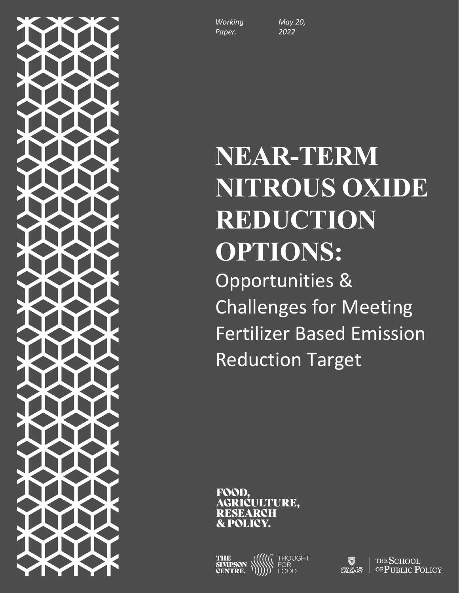

*May 20, 2022*

# **NEAR-TERM NITROUS OXIDE REDUCTION OPTIONS:**

Opportunities & Challenges for Meeting Fertilizer Based Emission Reduction Target

FOOD. GRIĆULTURE. RESEARCH **POLICY.** 

THE<br>SIMPSON<br>CENTRE. **THOUGHT** 

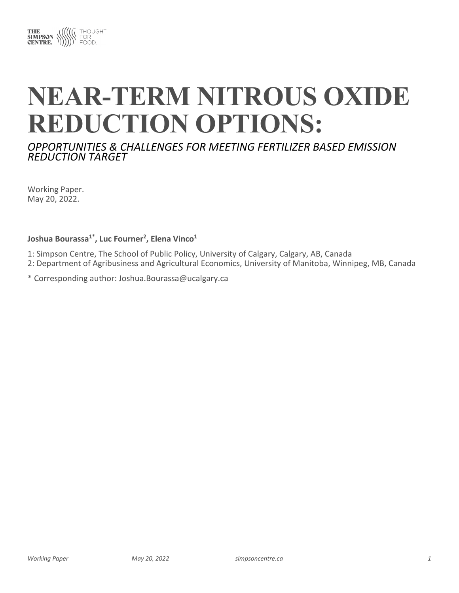# **NEAR-TERM NITROUS OXIDE REDUCTION OPTIONS:**

*OPPORTUNITIES & CHALLENGES FOR MEETING FERTILIZER BASED EMISSION REDUCTION TARGET*

Working Paper. May 20, 2022.

**Joshua Bourassa1\*, Luc Fourner2 , Elena Vinco1**

1: Simpson Centre, The School of Public Policy, University of Calgary, Calgary, AB, Canada 2: Department of Agribusiness and Agricultural Economics, University of Manitoba, Winnipeg, MB, Canada

\* Corresponding author: Joshua.Bourassa@ucalgary.ca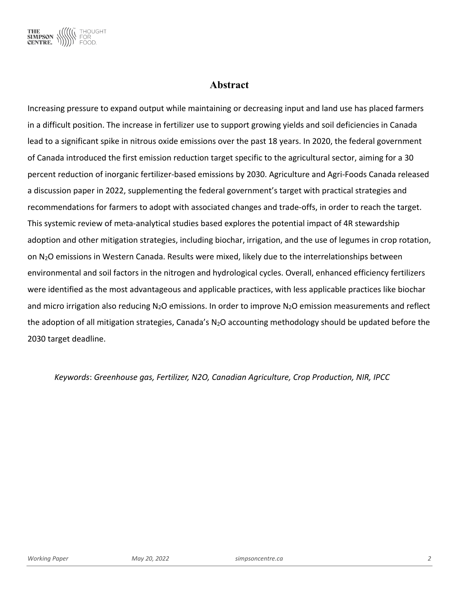

## **Abstract**

Increasing pressure to expand output while maintaining or decreasing input and land use has placed farmers in a difficult position. The increase in fertilizer use to support growing yields and soil deficiencies in Canada lead to a significant spike in nitrous oxide emissions over the past 18 years. In 2020, the federal government of Canada introduced the first emission reduction target specific to the agricultural sector, aiming for a 30 percent reduction of inorganic fertilizer-based emissions by 2030. Agriculture and Agri-Foods Canada released a discussion paper in 2022, supplementing the federal government's target with practical strategies and recommendations for farmers to adopt with associated changes and trade-offs, in order to reach the target. This systemic review of meta-analytical studies based explores the potential impact of 4R stewardship adoption and other mitigation strategies, including biochar, irrigation, and the use of legumes in crop rotation, on N2O emissions in Western Canada. Results were mixed, likely due to the interrelationships between environmental and soil factors in the nitrogen and hydrological cycles. Overall, enhanced efficiency fertilizers were identified as the most advantageous and applicable practices, with less applicable practices like biochar and micro irrigation also reducing  $N_2O$  emissions. In order to improve  $N_2O$  emission measurements and reflect the adoption of all mitigation strategies, Canada's  $N_2O$  accounting methodology should be updated before the 2030 target deadline.

*Keywords*: *Greenhouse gas, Fertilizer, N2O, Canadian Agriculture, Crop Production, NIR, IPCC*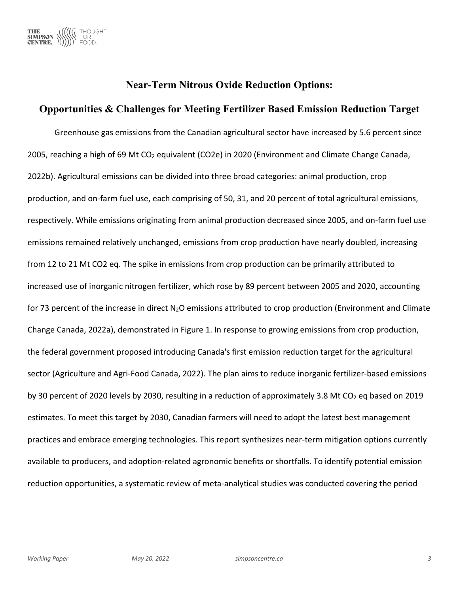# **Near-Term Nitrous Oxide Reduction Options:**

## **Opportunities & Challenges for Meeting Fertilizer Based Emission Reduction Target**

Greenhouse gas emissions from the Canadian agricultural sector have increased by 5.6 percent since 2005, reaching a high of 69 Mt CO<sub>2</sub> equivalent (CO2e) in 2020 (Environment and Climate Change Canada, 2022b). Agricultural emissions can be divided into three broad categories: animal production, crop production, and on-farm fuel use, each comprising of 50, 31, and 20 percent of total agricultural emissions, respectively. While emissions originating from animal production decreased since 2005, and on-farm fuel use emissions remained relatively unchanged, emissions from crop production have nearly doubled, increasing from 12 to 21 Mt CO2 eq. The spike in emissions from crop production can be primarily attributed to increased use of inorganic nitrogen fertilizer, which rose by 89 percent between 2005 and 2020, accounting for 73 percent of the increase in direct  $N_2O$  emissions attributed to crop production (Environment and Climate Change Canada, 2022a), demonstrated in Figure 1. In response to growing emissions from crop production, the federal government proposed introducing Canada's first emission reduction target for the agricultural sector (Agriculture and Agri-Food Canada, 2022). The plan aims to reduce inorganic fertilizer-based emissions by 30 percent of 2020 levels by 2030, resulting in a reduction of approximately 3.8 Mt CO<sub>2</sub> eq based on 2019 estimates. To meet this target by 2030, Canadian farmers will need to adopt the latest best management practices and embrace emerging technologies. This report synthesizes near-term mitigation options currently available to producers, and adoption-related agronomic benefits or shortfalls. To identify potential emission reduction opportunities, a systematic review of meta-analytical studies was conducted covering the period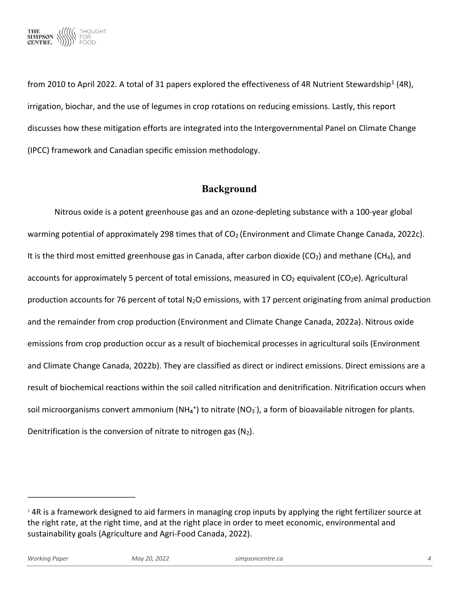

from 20[1](#page-4-0)0 to April 2022. A total of 31 papers explored the effectiveness of 4R Nutrient Stewardship<sup>1</sup> (4R), irrigation, biochar, and the use of legumes in crop rotations on reducing emissions. Lastly, this report discusses how these mitigation efforts are integrated into the Intergovernmental Panel on Climate Change (IPCC) framework and Canadian specific emission methodology.

# **Background**

Nitrous oxide is a potent greenhouse gas and an ozone-depleting substance with a 100-year global warming potential of approximately 298 times that of CO<sub>2</sub> (Environment and Climate Change Canada, 2022c). It is the third most emitted greenhouse gas in Canada, after carbon dioxide (CO<sub>2</sub>) and methane (CH<sub>4</sub>), and accounts for approximately 5 percent of total emissions, measured in  $CO<sub>2</sub>$  equivalent (CO<sub>2</sub>e). Agricultural production accounts for 76 percent of total N<sub>2</sub>O emissions, with 17 percent originating from animal production and the remainder from crop production (Environment and Climate Change Canada, 2022a). Nitrous oxide emissions from crop production occur as a result of biochemical processes in agricultural soils (Environment and Climate Change Canada, 2022b). They are classified as direct or indirect emissions. Direct emissions are a result of biochemical reactions within the soil called nitrification and denitrification. Nitrification occurs when soil microorganisms convert ammonium (NH<sub>4</sub><sup>+</sup>) to nitrate (NO<sub>3</sub><sup>-</sup>), a form of bioavailable nitrogen for plants. Denitrification is the conversion of nitrate to nitrogen gas  $(N_2)$ .

<span id="page-4-0"></span><sup>1</sup> 4R is a framework designed to aid farmers in managing crop inputs by applying the right fertilizer source at the right rate, at the right time, and at the right place in order to meet economic, environmental and sustainability goals (Agriculture and Agri-Food Canada, 2022).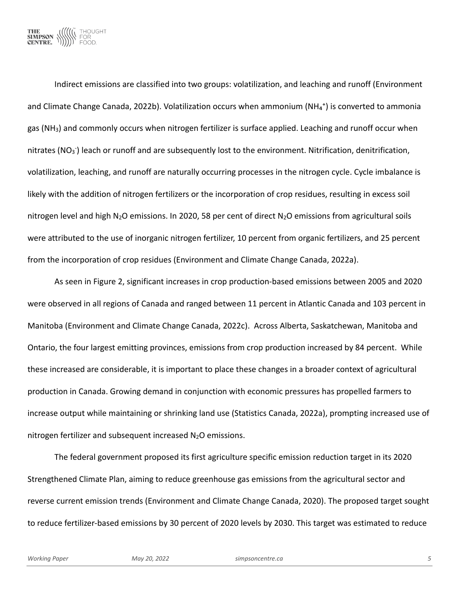

Indirect emissions are classified into two groups: volatilization, and leaching and runoff (Environment and Climate Change Canada, 2022b). Volatilization occurs when ammonium  $(NH<sub>4</sub><sup>+</sup>)$  is converted to ammonia gas (NH3) and commonly occurs when nitrogen fertilizer is surface applied. Leaching and runoff occur when nitrates (NO<sub>3</sub><sup>-</sup>) leach or runoff and are subsequently lost to the environment. Nitrification, denitrification, volatilization, leaching, and runoff are naturally occurring processes in the nitrogen cycle. Cycle imbalance is likely with the addition of nitrogen fertilizers or the incorporation of crop residues, resulting in excess soil nitrogen level and high N<sub>2</sub>O emissions. In 2020, 58 per cent of direct N<sub>2</sub>O emissions from agricultural soils were attributed to the use of inorganic nitrogen fertilizer, 10 percent from organic fertilizers, and 25 percent from the incorporation of crop residues (Environment and Climate Change Canada, 2022a).

As seen in Figure 2, significant increases in crop production-based emissions between 2005 and 2020 were observed in all regions of Canada and ranged between 11 percent in Atlantic Canada and 103 percent in Manitoba (Environment and Climate Change Canada, 2022c). Across Alberta, Saskatchewan, Manitoba and Ontario, the four largest emitting provinces, emissions from crop production increased by 84 percent. While these increased are considerable, it is important to place these changes in a broader context of agricultural production in Canada. Growing demand in conjunction with economic pressures has propelled farmers to increase output while maintaining or shrinking land use (Statistics Canada, 2022a), prompting increased use of nitrogen fertilizer and subsequent increased N<sub>2</sub>O emissions.

The federal government proposed its first agriculture specific emission reduction target in its 2020 Strengthened Climate Plan, aiming to reduce greenhouse gas emissions from the agricultural sector and reverse current emission trends (Environment and Climate Change Canada, 2020). The proposed target sought to reduce fertilizer-based emissions by 30 percent of 2020 levels by 2030. This target was estimated to reduce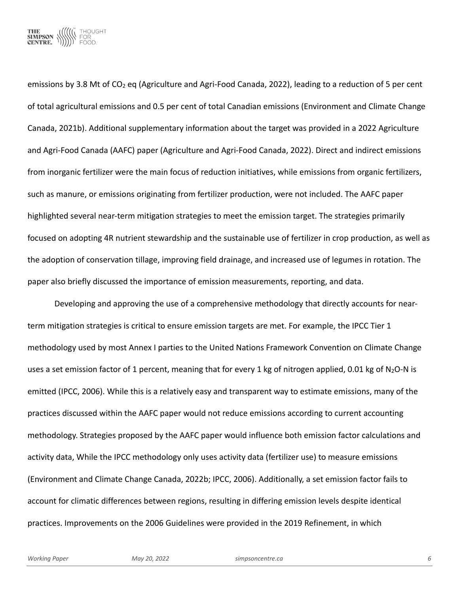

emissions by 3.8 Mt of CO<sub>2</sub> eg (Agriculture and Agri-Food Canada, 2022), leading to a reduction of 5 per cent of total agricultural emissions and 0.5 per cent of total Canadian emissions (Environment and Climate Change Canada, 2021b). Additional supplementary information about the target was provided in a 2022 Agriculture and Agri-Food Canada (AAFC) paper (Agriculture and Agri-Food Canada, 2022). Direct and indirect emissions from inorganic fertilizer were the main focus of reduction initiatives, while emissions from organic fertilizers, such as manure, or emissions originating from fertilizer production, were not included. The AAFC paper highlighted several near-term mitigation strategies to meet the emission target. The strategies primarily focused on adopting 4R nutrient stewardship and the sustainable use of fertilizer in crop production, as well as the adoption of conservation tillage, improving field drainage, and increased use of legumes in rotation. The paper also briefly discussed the importance of emission measurements, reporting, and data.

Developing and approving the use of a comprehensive methodology that directly accounts for nearterm mitigation strategies is critical to ensure emission targets are met. For example, the IPCC Tier 1 methodology used by most Annex I parties to the United Nations Framework Convention on Climate Change uses a set emission factor of 1 percent, meaning that for every 1 kg of nitrogen applied, 0.01 kg of  $N_2O-N$  is emitted (IPCC, 2006). While this is a relatively easy and transparent way to estimate emissions, many of the practices discussed within the AAFC paper would not reduce emissions according to current accounting methodology. Strategies proposed by the AAFC paper would influence both emission factor calculations and activity data, While the IPCC methodology only uses activity data (fertilizer use) to measure emissions (Environment and Climate Change Canada, 2022b; IPCC, 2006). Additionally, a set emission factor fails to account for climatic differences between regions, resulting in differing emission levels despite identical practices. Improvements on the 2006 Guidelines were provided in the 2019 Refinement, in which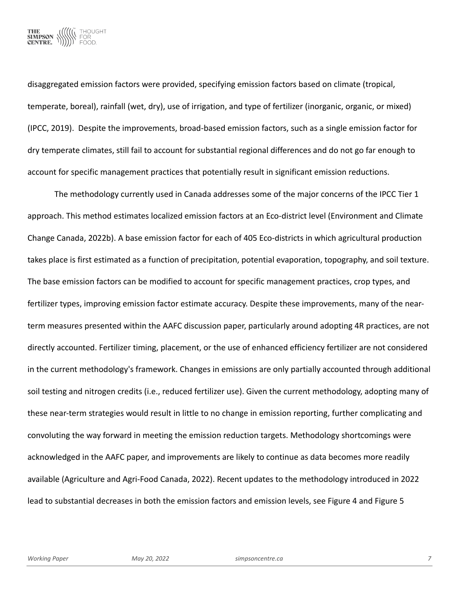

disaggregated emission factors were provided, specifying emission factors based on climate (tropical, temperate, boreal), rainfall (wet, dry), use of irrigation, and type of fertilizer (inorganic, organic, or mixed) (IPCC, 2019). Despite the improvements, broad-based emission factors, such as a single emission factor for dry temperate climates, still fail to account for substantial regional differences and do not go far enough to account for specific management practices that potentially result in significant emission reductions.

The methodology currently used in Canada addresses some of the major concerns of the IPCC Tier 1 approach. This method estimates localized emission factors at an Eco-district level (Environment and Climate Change Canada, 2022b). A base emission factor for each of 405 Eco-districts in which agricultural production takes place is first estimated as a function of precipitation, potential evaporation, topography, and soil texture. The base emission factors can be modified to account for specific management practices, crop types, and fertilizer types, improving emission factor estimate accuracy. Despite these improvements, many of the nearterm measures presented within the AAFC discussion paper, particularly around adopting 4R practices, are not directly accounted. Fertilizer timing, placement, or the use of enhanced efficiency fertilizer are not considered in the current methodology's framework. Changes in emissions are only partially accounted through additional soil testing and nitrogen credits (i.e., reduced fertilizer use). Given the current methodology, adopting many of these near-term strategies would result in little to no change in emission reporting, further complicating and convoluting the way forward in meeting the emission reduction targets. Methodology shortcomings were acknowledged in the AAFC paper, and improvements are likely to continue as data becomes more readily available (Agriculture and Agri-Food Canada, 2022). Recent updates to the methodology introduced in 2022 lead to substantial decreases in both the emission factors and emission levels, see Figure 4 and Figure 5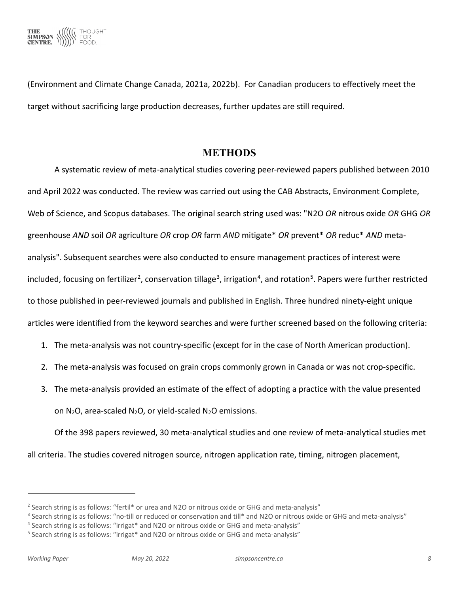

(Environment and Climate Change Canada, 2021a, 2022b). For Canadian producers to effectively meet the target without sacrificing large production decreases, further updates are still required.

## **METHODS**

A systematic review of meta-analytical studies covering peer-reviewed papers published between 2010 and April 2022 was conducted. The review was carried out using the CAB Abstracts, Environment Complete, Web of Science, and Scopus databases. The original search string used was: "N2O *OR* nitrous oxide *OR* GHG *OR* greenhouse *AND* soil *OR* agriculture *OR* crop *OR* farm *AND* mitigate\* *OR* prevent\* *OR* reduc\* *AND* metaanalysis". Subsequent searches were also conducted to ensure management practices of interest were included, focusing on fertilizer<sup>[2](#page-8-0)</sup>, conservation tillage<sup>[3](#page-8-1)</sup>, irrigation<sup>4</sup>, and rotation<sup>[5](#page-8-3)</sup>. Papers were further restricted to those published in peer-reviewed journals and published in English. Three hundred ninety-eight unique articles were identified from the keyword searches and were further screened based on the following criteria:

- 1. The meta-analysis was not country-specific (except for in the case of North American production).
- 2. The meta-analysis was focused on grain crops commonly grown in Canada or was not crop-specific.
- 3. The meta-analysis provided an estimate of the effect of adopting a practice with the value presented

on  $N_2O$ , area-scaled  $N_2O$ , or yield-scaled  $N_2O$  emissions.

Of the 398 papers reviewed, 30 meta-analytical studies and one review of meta-analytical studies met all criteria. The studies covered nitrogen source, nitrogen application rate, timing, nitrogen placement,

<span id="page-8-1"></span><span id="page-8-0"></span>

<sup>&</sup>lt;sup>2</sup> Search string is as follows: "fertil\* or urea and N2O or nitrous oxide or GHG and meta-analysis"<br><sup>3</sup> Search string is as follows: "no-till or reduced or conservation and till\* and N2O or nitrous oxide or GHG and meta-a

<span id="page-8-2"></span><sup>&</sup>lt;sup>4</sup> Search string is as follows: "irrigat\* and N2O or nitrous oxide or GHG and meta-analysis"

<span id="page-8-3"></span> $5$  Search string is as follows: "irrigat\* and N2O or nitrous oxide or GHG and meta-analysis"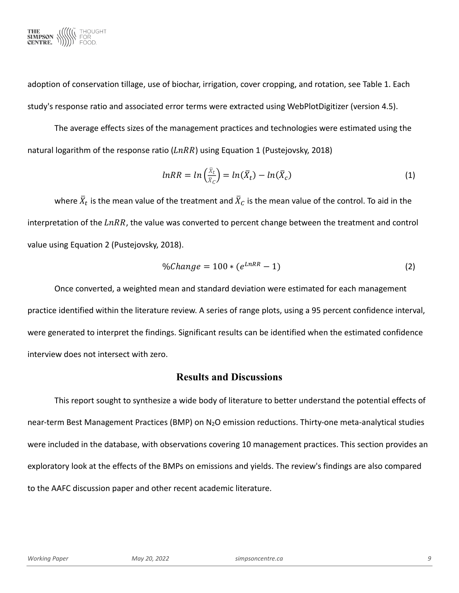

adoption of conservation tillage, use of biochar, irrigation, cover cropping, and rotation, see Table 1. Each study's response ratio and associated error terms were extracted using WebPlotDigitizer (version 4.5).

The average effects sizes of the management practices and technologies were estimated using the natural logarithm of the response ratio ( $LnRR$ ) using Equation 1 (Pustejovsky, 2018)

$$
lnRR = ln\left(\frac{\bar{x}_t}{\bar{x}_c}\right) = ln(\bar{X}_t) - ln(\bar{X}_c)
$$
\n(1)

where  $\bar{X}_t$  is the mean value of the treatment and  $\bar{X}_c$  is the mean value of the control. To aid in the interpretation of the  $LnRR$ , the value was converted to percent change between the treatment and control value using Equation 2 (Pustejovsky, 2018).

$$
\%Change = 100 * (e^{LnRR} - 1) \tag{2}
$$

Once converted, a weighted mean and standard deviation were estimated for each management practice identified within the literature review. A series of range plots, using a 95 percent confidence interval, were generated to interpret the findings. Significant results can be identified when the estimated confidence interview does not intersect with zero.

## **Results and Discussions**

This report sought to synthesize a wide body of literature to better understand the potential effects of near-term Best Management Practices (BMP) on N2O emission reductions. Thirty-one meta-analytical studies were included in the database, with observations covering 10 management practices. This section provides an exploratory look at the effects of the BMPs on emissions and yields. The review's findings are also compared to the AAFC discussion paper and other recent academic literature.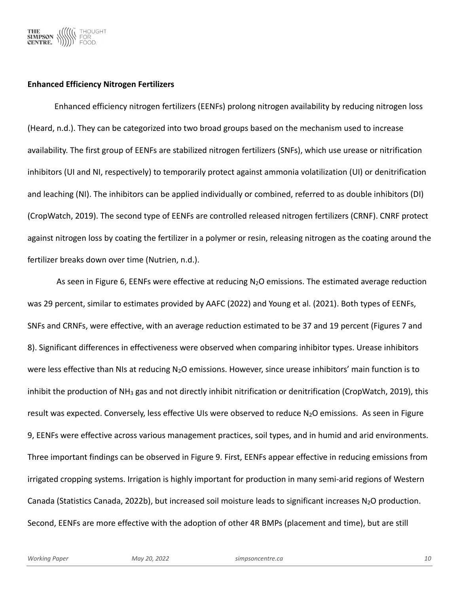

#### **Enhanced Efficiency Nitrogen Fertilizers**

Enhanced efficiency nitrogen fertilizers (EENFs) prolong nitrogen availability by reducing nitrogen loss (Heard, n.d.). They can be categorized into two broad groups based on the mechanism used to increase availability. The first group of EENFs are stabilized nitrogen fertilizers (SNFs), which use urease or nitrification inhibitors (UI and NI, respectively) to temporarily protect against ammonia volatilization (UI) or denitrification and leaching (NI). The inhibitors can be applied individually or combined, referred to as double inhibitors (DI) (CropWatch, 2019). The second type of EENFs are controlled released nitrogen fertilizers (CRNF). CNRF protect against nitrogen loss by coating the fertilizer in a polymer or resin, releasing nitrogen as the coating around the fertilizer breaks down over time (Nutrien, n.d.).

As seen in Figure 6, EENFs were effective at reducing  $N_2O$  emissions. The estimated average reduction was 29 percent, similar to estimates provided by AAFC (2022) and Young et al. (2021). Both types of EENFs, SNFs and CRNFs, were effective, with an average reduction estimated to be 37 and 19 percent (Figures 7 and 8). Significant differences in effectiveness were observed when comparing inhibitor types. Urease inhibitors were less effective than NIs at reducing  $N_2O$  emissions. However, since urease inhibitors' main function is to inhibit the production of NH<sub>3</sub> gas and not directly inhibit nitrification or denitrification (CropWatch, 2019), this result was expected. Conversely, less effective UIs were observed to reduce N2O emissions. As seen in Figure 9, EENFs were effective across various management practices, soil types, and in humid and arid environments. Three important findings can be observed in Figure 9. First, EENFs appear effective in reducing emissions from irrigated cropping systems. Irrigation is highly important for production in many semi-arid regions of Western Canada (Statistics Canada, 2022b), but increased soil moisture leads to significant increases  $N_2O$  production. Second, EENFs are more effective with the adoption of other 4R BMPs (placement and time), but are still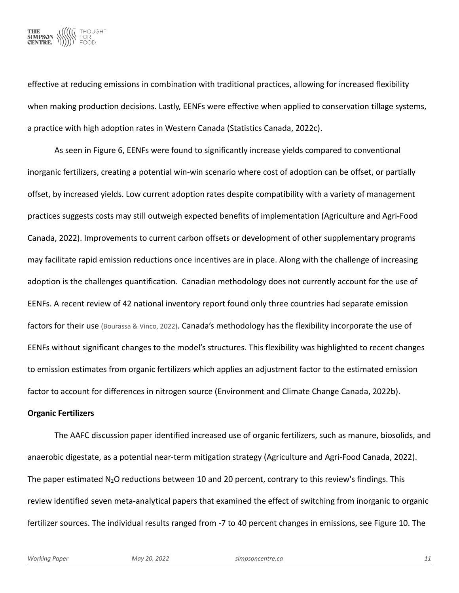

effective at reducing emissions in combination with traditional practices, allowing for increased flexibility when making production decisions. Lastly, EENFs were effective when applied to conservation tillage systems, a practice with high adoption rates in Western Canada (Statistics Canada, 2022c).

As seen in Figure 6, EENFs were found to significantly increase yields compared to conventional inorganic fertilizers, creating a potential win-win scenario where cost of adoption can be offset, or partially offset, by increased yields. Low current adoption rates despite compatibility with a variety of management practices suggests costs may still outweigh expected benefits of implementation (Agriculture and Agri-Food Canada, 2022). Improvements to current carbon offsets or development of other supplementary programs may facilitate rapid emission reductions once incentives are in place. Along with the challenge of increasing adoption is the challenges quantification. Canadian methodology does not currently account for the use of EENFs. A recent review of 42 national inventory report found only three countries had separate emission factors for their use (Bourassa & Vinco, 2022). Canada's methodology has the flexibility incorporate the use of EENFs without significant changes to the model's structures. This flexibility was highlighted to recent changes to emission estimates from organic fertilizers which applies an adjustment factor to the estimated emission factor to account for differences in nitrogen source (Environment and Climate Change Canada, 2022b).

#### **Organic Fertilizers**

The AAFC discussion paper identified increased use of organic fertilizers, such as manure, biosolids, and anaerobic digestate, as a potential near-term mitigation strategy (Agriculture and Agri-Food Canada, 2022). The paper estimated  $N_2O$  reductions between 10 and 20 percent, contrary to this review's findings. This review identified seven meta-analytical papers that examined the effect of switching from inorganic to organic fertilizer sources. The individual results ranged from -7 to 40 percent changes in emissions, see Figure 10. The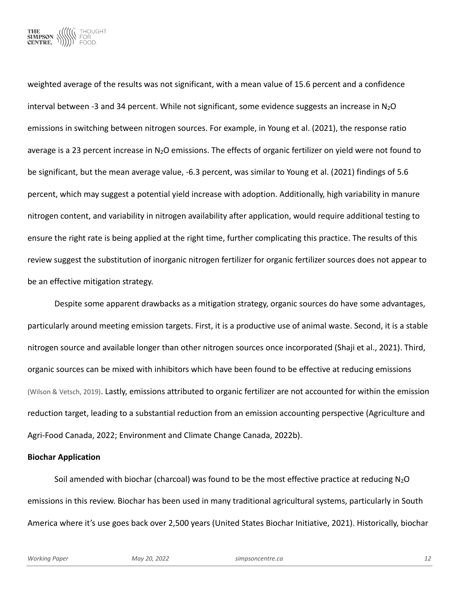

weighted average of the results was not significant, with a mean value of 15.6 percent and a confidence interval between -3 and 34 percent. While not significant, some evidence suggests an increase in  $N_2O$ emissions in switching between nitrogen sources. For example, in Young et al. (2021), the response ratio average is a 23 percent increase in  $N_2O$  emissions. The effects of organic fertilizer on yield were not found to be significant, but the mean average value, -6.3 percent, was similar to Young et al. (2021) findings of 5.6 percent, which may suggest a potential yield increase with adoption. Additionally, high variability in manure nitrogen content, and variability in nitrogen availability after application, would require additional testing to ensure the right rate is being applied at the right time, further complicating this practice. The results of this review suggest the substitution of inorganic nitrogen fertilizer for organic fertilizer sources does not appear to be an effective mitigation strategy.

Despite some apparent drawbacks as a mitigation strategy, organic sources do have some advantages, particularly around meeting emission targets. First, it is a productive use of animal waste. Second, it is a stable nitrogen source and available longer than other nitrogen sources once incorporated (Shaji et al., 2021). Third, organic sources can be mixed with inhibitors which have been found to be effective at reducing emissions (Wilson & Vetsch, 2019). Lastly, emissions attributed to organic fertilizer are not accounted for within the emission reduction target, leading to a substantial reduction from an emission accounting perspective (Agriculture and Agri-Food Canada, 2022; Environment and Climate Change Canada, 2022b).

#### **Biochar Application**

Soil amended with biochar (charcoal) was found to be the most effective practice at reducing  $N_2O$ emissions in this review. Biochar has been used in many traditional agricultural systems, particularly in South America where it's use goes back over 2,500 years (United States Biochar Initiative, 2021). Historically, biochar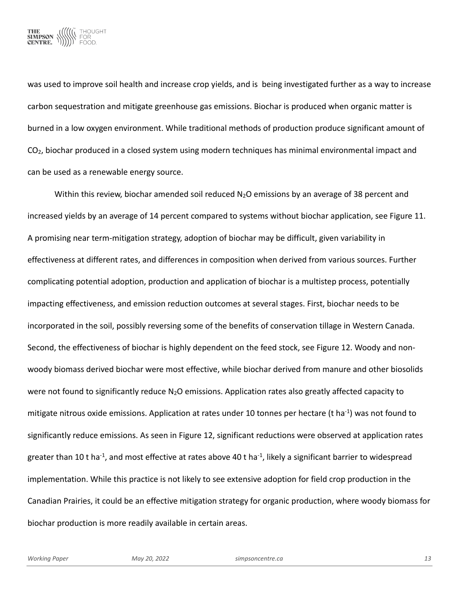

was used to improve soil health and increase crop yields, and is being investigated further as a way to increase carbon sequestration and mitigate greenhouse gas emissions. Biochar is produced when organic matter is burned in a low oxygen environment. While traditional methods of production produce significant amount of  $CO<sub>2</sub>$ , biochar produced in a closed system using modern techniques has minimal environmental impact and can be used as a renewable energy source.

Within this review, biochar amended soil reduced  $N_2O$  emissions by an average of 38 percent and increased yields by an average of 14 percent compared to systems without biochar application, see Figure 11. A promising near term-mitigation strategy, adoption of biochar may be difficult, given variability in effectiveness at different rates, and differences in composition when derived from various sources. Further complicating potential adoption, production and application of biochar is a multistep process, potentially impacting effectiveness, and emission reduction outcomes at several stages. First, biochar needs to be incorporated in the soil, possibly reversing some of the benefits of conservation tillage in Western Canada. Second, the effectiveness of biochar is highly dependent on the feed stock, see Figure 12. Woody and nonwoody biomass derived biochar were most effective, while biochar derived from manure and other biosolids were not found to significantly reduce  $N_2O$  emissions. Application rates also greatly affected capacity to mitigate nitrous oxide emissions. Application at rates under 10 tonnes per hectare (t ha<sup>-1</sup>) was not found to significantly reduce emissions. As seen in Figure 12, significant reductions were observed at application rates greater than 10 t ha<sup>-1</sup>, and most effective at rates above 40 t ha<sup>-1</sup>, likely a significant barrier to widespread implementation. While this practice is not likely to see extensive adoption for field crop production in the Canadian Prairies, it could be an effective mitigation strategy for organic production, where woody biomass for biochar production is more readily available in certain areas.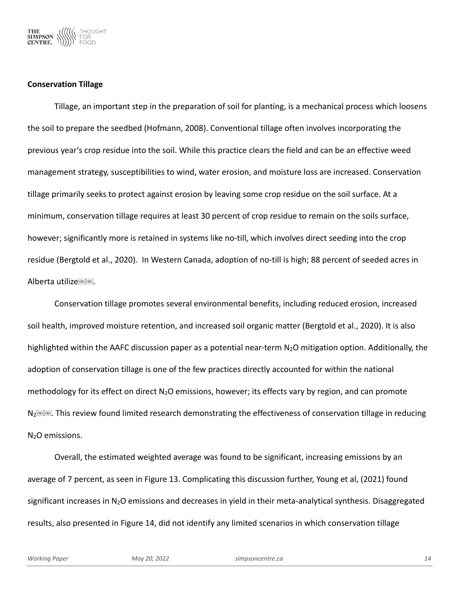

#### **Conservation Tillage**

Tillage, an important step in the preparation of soil for planting, is a mechanical process which loosens the soil to prepare the seedbed (Hofmann, 2008). Conventional tillage often involves incorporating the previous year's crop residue into the soil. While this practice clears the field and can be an effective weed management strategy, susceptibilities to wind, water erosion, and moisture loss are increased. Conservation tillage primarily seeks to protect against erosion by leaving some crop residue on the soil surface. At a minimum, conservation tillage requires at least 30 percent of crop residue to remain on the soils surface, however; significantly more is retained in systems like no-till, which involves direct seeding into the crop residue (Bergtold et al., 2020). In Western Canada, adoption of no-till is high; 88 percent of seeded acres in Alberta utilize<sup>font</sup>on.

Conservation tillage promotes several environmental benefits, including reduced erosion, increased soil health, improved moisture retention, and increased soil organic matter (Bergtold et al., 2020). It is also highlighted within the AAFC discussion paper as a potential near-term  $N<sub>2</sub>O$  mitigation option. Additionally, the adoption of conservation tillage is one of the few practices directly accounted for within the national methodology for its effect on direct  $N_2O$  emissions, however; its effects vary by region, and can promote N2. This review found limited research demonstrating the effectiveness of conservation tillage in reducing N2O emissions.

Overall, the estimated weighted average was found to be significant, increasing emissions by an average of 7 percent, as seen in Figure 13. Complicating this discussion further, Young et al, (2021) found significant increases in  $N_2O$  emissions and decreases in yield in their meta-analytical synthesis. Disaggregated results, also presented in Figure 14, did not identify any limited scenarios in which conservation tillage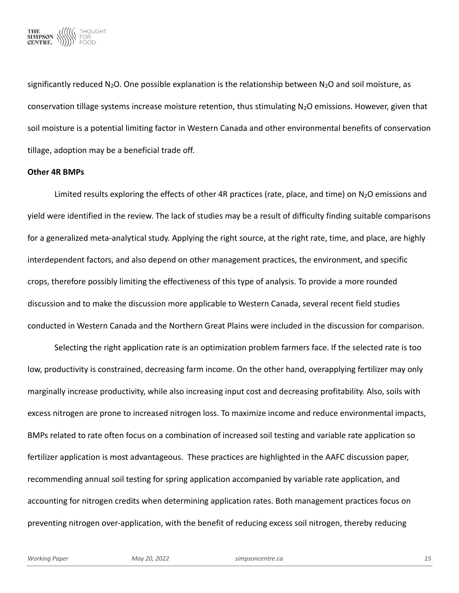

significantly reduced  $N_2O$ . One possible explanation is the relationship between  $N_2O$  and soil moisture, as conservation tillage systems increase moisture retention, thus stimulating  $N_2O$  emissions. However, given that soil moisture is a potential limiting factor in Western Canada and other environmental benefits of conservation tillage, adoption may be a beneficial trade off.

#### **Other 4R BMPs**

Limited results exploring the effects of other 4R practices (rate, place, and time) on  $N_2O$  emissions and yield were identified in the review. The lack of studies may be a result of difficulty finding suitable comparisons for a generalized meta-analytical study. Applying the right source, at the right rate, time, and place, are highly interdependent factors, and also depend on other management practices, the environment, and specific crops, therefore possibly limiting the effectiveness of this type of analysis. To provide a more rounded discussion and to make the discussion more applicable to Western Canada, several recent field studies conducted in Western Canada and the Northern Great Plains were included in the discussion for comparison.

Selecting the right application rate is an optimization problem farmers face. If the selected rate is too low, productivity is constrained, decreasing farm income. On the other hand, overapplying fertilizer may only marginally increase productivity, while also increasing input cost and decreasing profitability. Also, soils with excess nitrogen are prone to increased nitrogen loss. To maximize income and reduce environmental impacts, BMPs related to rate often focus on a combination of increased soil testing and variable rate application so fertilizer application is most advantageous. These practices are highlighted in the AAFC discussion paper, recommending annual soil testing for spring application accompanied by variable rate application, and accounting for nitrogen credits when determining application rates. Both management practices focus on preventing nitrogen over-application, with the benefit of reducing excess soil nitrogen, thereby reducing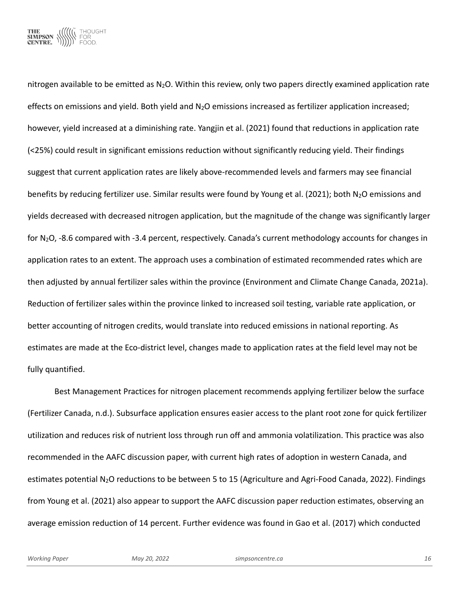

nitrogen available to be emitted as N2O. Within this review, only two papers directly examined application rate effects on emissions and yield. Both yield and N<sub>2</sub>O emissions increased as fertilizer application increased; however, yield increased at a diminishing rate. Yangjin et al. (2021) found that reductions in application rate (<25%) could result in significant emissions reduction without significantly reducing yield. Their findings suggest that current application rates are likely above-recommended levels and farmers may see financial benefits by reducing fertilizer use. Similar results were found by Young et al. (2021); both N<sub>2</sub>O emissions and yields decreased with decreased nitrogen application, but the magnitude of the change was significantly larger for N2O, -8.6 compared with -3.4 percent, respectively. Canada's current methodology accounts for changes in application rates to an extent. The approach uses a combination of estimated recommended rates which are then adjusted by annual fertilizer sales within the province (Environment and Climate Change Canada, 2021a). Reduction of fertilizer sales within the province linked to increased soil testing, variable rate application, or better accounting of nitrogen credits, would translate into reduced emissions in national reporting. As estimates are made at the Eco-district level, changes made to application rates at the field level may not be fully quantified.

Best Management Practices for nitrogen placement recommends applying fertilizer below the surface (Fertilizer Canada, n.d.). Subsurface application ensures easier access to the plant root zone for quick fertilizer utilization and reduces risk of nutrient loss through run off and ammonia volatilization. This practice was also recommended in the AAFC discussion paper, with current high rates of adoption in western Canada, and estimates potential N<sub>2</sub>O reductions to be between 5 to 15 (Agriculture and Agri-Food Canada, 2022). Findings from Young et al. (2021) also appear to support the AAFC discussion paper reduction estimates, observing an average emission reduction of 14 percent. Further evidence was found in Gao et al. (2017) which conducted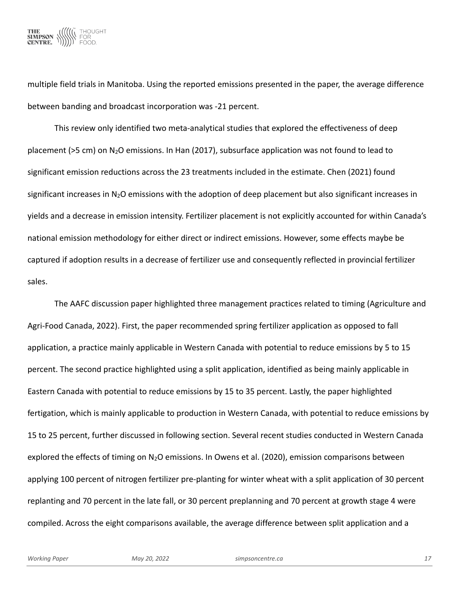

multiple field trials in Manitoba. Using the reported emissions presented in the paper, the average difference between banding and broadcast incorporation was -21 percent.

This review only identified two meta-analytical studies that explored the effectiveness of deep placement (>5 cm) on N2O emissions. In Han (2017), subsurface application was not found to lead to significant emission reductions across the 23 treatments included in the estimate. Chen (2021) found significant increases in  $N_2O$  emissions with the adoption of deep placement but also significant increases in yields and a decrease in emission intensity. Fertilizer placement is not explicitly accounted for within Canada's national emission methodology for either direct or indirect emissions. However, some effects maybe be captured if adoption results in a decrease of fertilizer use and consequently reflected in provincial fertilizer sales.

The AAFC discussion paper highlighted three management practices related to timing (Agriculture and Agri-Food Canada, 2022). First, the paper recommended spring fertilizer application as opposed to fall application, a practice mainly applicable in Western Canada with potential to reduce emissions by 5 to 15 percent. The second practice highlighted using a split application, identified as being mainly applicable in Eastern Canada with potential to reduce emissions by 15 to 35 percent. Lastly, the paper highlighted fertigation, which is mainly applicable to production in Western Canada, with potential to reduce emissions by 15 to 25 percent, further discussed in following section. Several recent studies conducted in Western Canada explored the effects of timing on N<sub>2</sub>O emissions. In Owens et al. (2020), emission comparisons between applying 100 percent of nitrogen fertilizer pre-planting for winter wheat with a split application of 30 percent replanting and 70 percent in the late fall, or 30 percent preplanning and 70 percent at growth stage 4 were compiled. Across the eight comparisons available, the average difference between split application and a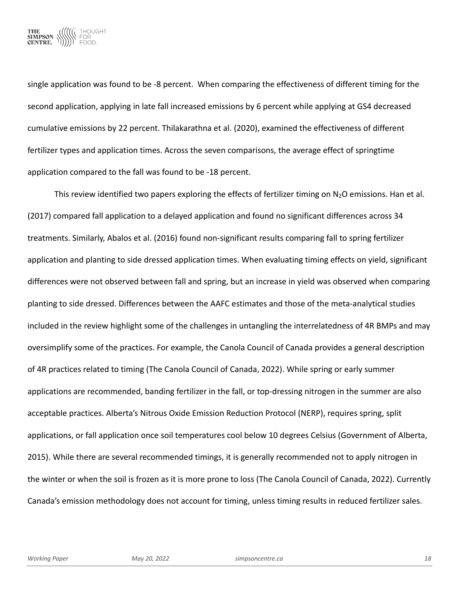

single application was found to be -8 percent. When comparing the effectiveness of different timing for the second application, applying in late fall increased emissions by 6 percent while applying at GS4 decreased cumulative emissions by 22 percent. Thilakarathna et al. (2020), examined the effectiveness of different fertilizer types and application times. Across the seven comparisons, the average effect of springtime application compared to the fall was found to be -18 percent.

This review identified two papers exploring the effects of fertilizer timing on  $N_2O$  emissions. Han et al. (2017) compared fall application to a delayed application and found no significant differences across 34 treatments. Similarly, Abalos et al. (2016) found non-significant results comparing fall to spring fertilizer application and planting to side dressed application times. When evaluating timing effects on yield, significant differences were not observed between fall and spring, but an increase in yield was observed when comparing planting to side dressed. Differences between the AAFC estimates and those of the meta-analytical studies included in the review highlight some of the challenges in untangling the interrelatedness of 4R BMPs and may oversimplify some of the practices. For example, the Canola Council of Canada provides a general description of 4R practices related to timing (The Canola Council of Canada, 2022). While spring or early summer applications are recommended, banding fertilizer in the fall, or top-dressing nitrogen in the summer are also acceptable practices. Alberta's Nitrous Oxide Emission Reduction Protocol (NERP), requires spring, split applications, or fall application once soil temperatures cool below 10 degrees Celsius (Government of Alberta, 2015). While there are several recommended timings, it is generally recommended not to apply nitrogen in the winter or when the soil is frozen as it is more prone to loss (The Canola Council of Canada, 2022). Currently Canada's emission methodology does not account for timing, unless timing results in reduced fertilizer sales.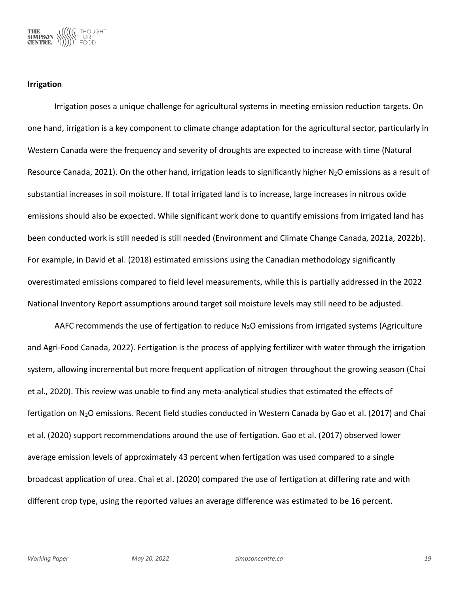

#### **Irrigation**

Irrigation poses a unique challenge for agricultural systems in meeting emission reduction targets. On one hand, irrigation is a key component to climate change adaptation for the agricultural sector, particularly in Western Canada were the frequency and severity of droughts are expected to increase with time (Natural Resource Canada, 2021). On the other hand, irrigation leads to significantly higher  $N_2O$  emissions as a result of substantial increases in soil moisture. If total irrigated land is to increase, large increases in nitrous oxide emissions should also be expected. While significant work done to quantify emissions from irrigated land has been conducted work is still needed is still needed (Environment and Climate Change Canada, 2021a, 2022b). For example, in David et al. (2018) estimated emissions using the Canadian methodology significantly overestimated emissions compared to field level measurements, while this is partially addressed in the 2022 National Inventory Report assumptions around target soil moisture levels may still need to be adjusted.

AAFC recommends the use of fertigation to reduce  $N_2O$  emissions from irrigated systems (Agriculture and Agri-Food Canada, 2022). Fertigation is the process of applying fertilizer with water through the irrigation system, allowing incremental but more frequent application of nitrogen throughout the growing season (Chai et al., 2020). This review was unable to find any meta-analytical studies that estimated the effects of fertigation on N2O emissions. Recent field studies conducted in Western Canada by Gao et al. (2017) and Chai et al. (2020) support recommendations around the use of fertigation. Gao et al. (2017) observed lower average emission levels of approximately 43 percent when fertigation was used compared to a single broadcast application of urea. Chai et al. (2020) compared the use of fertigation at differing rate and with different crop type, using the reported values an average difference was estimated to be 16 percent.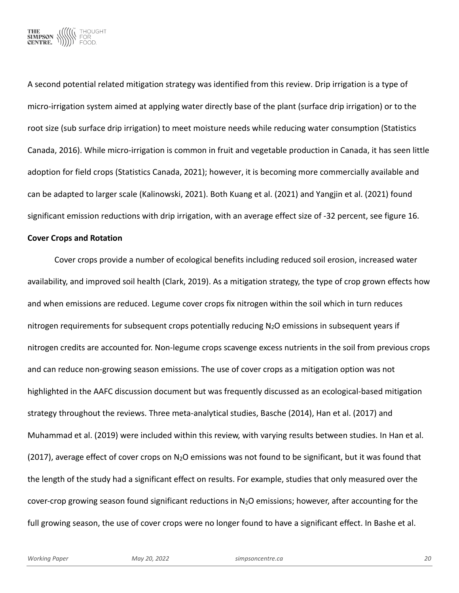

A second potential related mitigation strategy was identified from this review. Drip irrigation is a type of micro-irrigation system aimed at applying water directly base of the plant (surface drip irrigation) or to the root size (sub surface drip irrigation) to meet moisture needs while reducing water consumption (Statistics Canada, 2016). While micro-irrigation is common in fruit and vegetable production in Canada, it has seen little adoption for field crops (Statistics Canada, 2021); however, it is becoming more commercially available and can be adapted to larger scale (Kalinowski, 2021). Both Kuang et al. (2021) and Yangjin et al. (2021) found significant emission reductions with drip irrigation, with an average effect size of -32 percent, see figure 16.

#### **Cover Crops and Rotation**

Cover crops provide a number of ecological benefits including reduced soil erosion, increased water availability, and improved soil health (Clark, 2019). As a mitigation strategy, the type of crop grown effects how and when emissions are reduced. Legume cover crops fix nitrogen within the soil which in turn reduces nitrogen requirements for subsequent crops potentially reducing  $N<sub>2</sub>O$  emissions in subsequent years if nitrogen credits are accounted for. Non-legume crops scavenge excess nutrients in the soil from previous crops and can reduce non-growing season emissions. The use of cover crops as a mitigation option was not highlighted in the AAFC discussion document but was frequently discussed as an ecological-based mitigation strategy throughout the reviews. Three meta-analytical studies, Basche (2014), Han et al. (2017) and Muhammad et al. (2019) were included within this review, with varying results between studies. In Han et al. (2017), average effect of cover crops on N2O emissions was not found to be significant, but it was found that the length of the study had a significant effect on results. For example, studies that only measured over the cover-crop growing season found significant reductions in  $N_2O$  emissions; however, after accounting for the full growing season, the use of cover crops were no longer found to have a significant effect. In Bashe et al.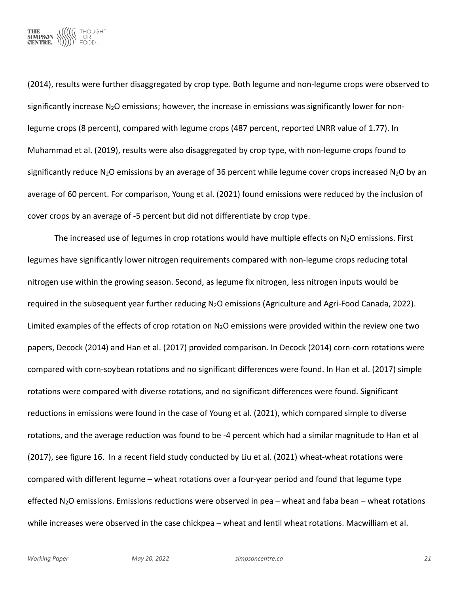

(2014), results were further disaggregated by crop type. Both legume and non-legume crops were observed to significantly increase  $N_2O$  emissions; however, the increase in emissions was significantly lower for nonlegume crops (8 percent), compared with legume crops (487 percent, reported LNRR value of 1.77). In Muhammad et al. (2019), results were also disaggregated by crop type, with non-legume crops found to significantly reduce N<sub>2</sub>O emissions by an average of 36 percent while legume cover crops increased N<sub>2</sub>O by an average of 60 percent. For comparison, Young et al. (2021) found emissions were reduced by the inclusion of cover crops by an average of -5 percent but did not differentiate by crop type.

The increased use of legumes in crop rotations would have multiple effects on  $N_2O$  emissions. First legumes have significantly lower nitrogen requirements compared with non-legume crops reducing total nitrogen use within the growing season. Second, as legume fix nitrogen, less nitrogen inputs would be required in the subsequent year further reducing  $N<sub>2</sub>O$  emissions (Agriculture and Agri-Food Canada, 2022). Limited examples of the effects of crop rotation on  $N<sub>2</sub>O$  emissions were provided within the review one two papers, Decock (2014) and Han et al. (2017) provided comparison. In Decock (2014) corn-corn rotations were compared with corn-soybean rotations and no significant differences were found. In Han et al. (2017) simple rotations were compared with diverse rotations, and no significant differences were found. Significant reductions in emissions were found in the case of Young et al. (2021), which compared simple to diverse rotations, and the average reduction was found to be -4 percent which had a similar magnitude to Han et al (2017), see figure 16. In a recent field study conducted by Liu et al. (2021) wheat-wheat rotations were compared with different legume – wheat rotations over a four-year period and found that legume type effected N<sub>2</sub>O emissions. Emissions reductions were observed in pea – wheat and faba bean – wheat rotations while increases were observed in the case chickpea – wheat and lentil wheat rotations. Macwilliam et al.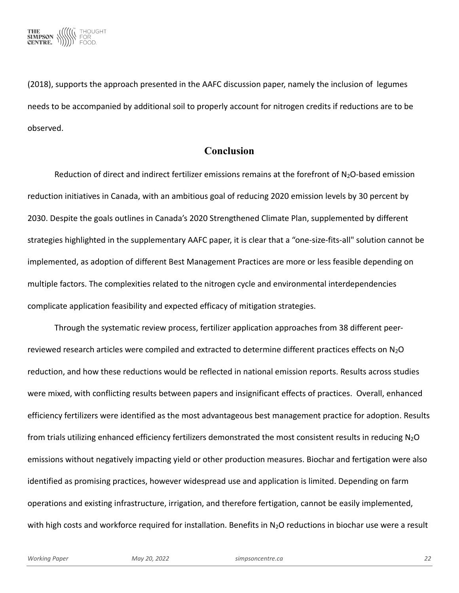(2018), supports the approach presented in the AAFC discussion paper, namely the inclusion of legumes needs to be accompanied by additional soil to properly account for nitrogen credits if reductions are to be observed.

#### **Conclusion**

Reduction of direct and indirect fertilizer emissions remains at the forefront of  $N<sub>2</sub>O$ -based emission reduction initiatives in Canada, with an ambitious goal of reducing 2020 emission levels by 30 percent by 2030. Despite the goals outlines in Canada's 2020 Strengthened Climate Plan, supplemented by different strategies highlighted in the supplementary AAFC paper, it is clear that a "one-size-fits-all" solution cannot be implemented, as adoption of different Best Management Practices are more or less feasible depending on multiple factors. The complexities related to the nitrogen cycle and environmental interdependencies complicate application feasibility and expected efficacy of mitigation strategies.

Through the systematic review process, fertilizer application approaches from 38 different peerreviewed research articles were compiled and extracted to determine different practices effects on  $N_2O$ reduction, and how these reductions would be reflected in national emission reports. Results across studies were mixed, with conflicting results between papers and insignificant effects of practices. Overall, enhanced efficiency fertilizers were identified as the most advantageous best management practice for adoption. Results from trials utilizing enhanced efficiency fertilizers demonstrated the most consistent results in reducing  $N_2O$ emissions without negatively impacting yield or other production measures. Biochar and fertigation were also identified as promising practices, however widespread use and application is limited. Depending on farm operations and existing infrastructure, irrigation, and therefore fertigation, cannot be easily implemented, with high costs and workforce required for installation. Benefits in  $N_2O$  reductions in biochar use were a result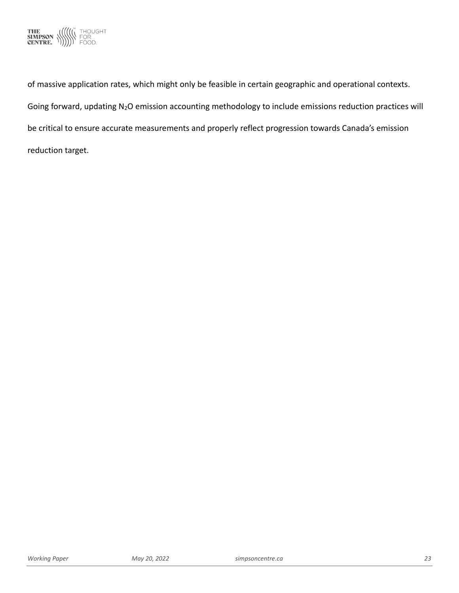

of massive application rates, which might only be feasible in certain geographic and operational contexts. Going forward, updating N<sub>2</sub>O emission accounting methodology to include emissions reduction practices will be critical to ensure accurate measurements and properly reflect progression towards Canada's emission reduction target.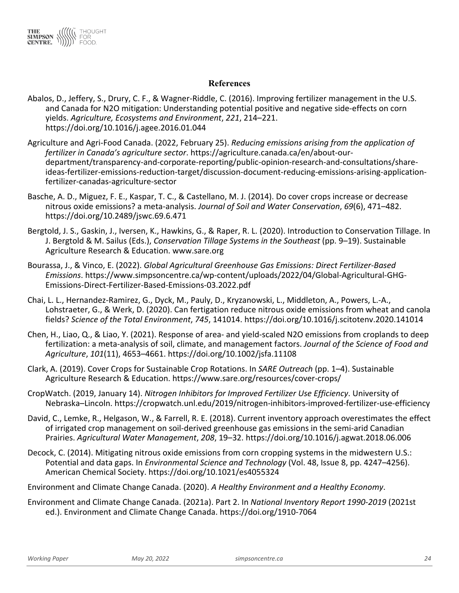

#### **References**

- Abalos, D., Jeffery, S., Drury, C. F., & Wagner-Riddle, C. (2016). Improving fertilizer management in the U.S. and Canada for N2O mitigation: Understanding potential positive and negative side-effects on corn yields. *Agriculture, Ecosystems and Environment*, *221*, 214–221. https://doi.org/10.1016/j.agee.2016.01.044
- Agriculture and Agri-Food Canada. (2022, February 25). *Reducing emissions arising from the application of fertilizer in Canada's agriculture sector*. https://agriculture.canada.ca/en/about-ourdepartment/transparency-and-corporate-reporting/public-opinion-research-and-consultations/shareideas-fertilizer-emissions-reduction-target/discussion-document-reducing-emissions-arising-applicationfertilizer-canadas-agriculture-sector
- Basche, A. D., Miguez, F. E., Kaspar, T. C., & Castellano, M. J. (2014). Do cover crops increase or decrease nitrous oxide emissions? a meta-analysis. *Journal of Soil and Water Conservation*, *69*(6), 471–482. https://doi.org/10.2489/jswc.69.6.471
- Bergtold, J. S., Gaskin, J., Iversen, K., Hawkins, G., & Raper, R. L. (2020). Introduction to Conservation Tillage. In J. Bergtold & M. Sailus (Eds.), *Conservation Tillage Systems in the Southeast* (pp. 9–19). Sustainable Agriculture Research & Education. www.sare.org
- Bourassa, J., & Vinco, E. (2022). *Global Agricultural Greenhouse Gas Emissions: Direct Fertilizer-Based Emissions*. https://www.simpsoncentre.ca/wp-content/uploads/2022/04/Global-Agricultural-GHG-Emissions-Direct-Fertilizer-Based-Emissions-03.2022.pdf
- Chai, L. L., Hernandez-Ramirez, G., Dyck, M., Pauly, D., Kryzanowski, L., Middleton, A., Powers, L.-A., Lohstraeter, G., & Werk, D. (2020). Can fertigation reduce nitrous oxide emissions from wheat and canola fields? *Science of the Total Environment*, *745*, 141014. https://doi.org/10.1016/j.scitotenv.2020.141014
- Chen, H., Liao, Q., & Liao, Y. (2021). Response of area- and yield-scaled N2O emissions from croplands to deep fertilization: a meta-analysis of soil, climate, and management factors. *Journal of the Science of Food and Agriculture*, *101*(11), 4653–4661. https://doi.org/10.1002/jsfa.11108
- Clark, A. (2019). Cover Crops for Sustainable Crop Rotations. In *SARE Outreach* (pp. 1–4). Sustainable Agriculture Research & Education. https://www.sare.org/resources/cover-crops/
- CropWatch. (2019, January 14). *Nitrogen Inhibitors for Improved Fertilizer Use Efficiency*. University of Nebraska–Lincoln. https://cropwatch.unl.edu/2019/nitrogen-inhibitors-improved-fertilizer-use-efficiency
- David, C., Lemke, R., Helgason, W., & Farrell, R. E. (2018). Current inventory approach overestimates the effect of irrigated crop management on soil-derived greenhouse gas emissions in the semi-arid Canadian Prairies. *Agricultural Water Management*, *208*, 19–32. https://doi.org/10.1016/j.agwat.2018.06.006
- Decock, C. (2014). Mitigating nitrous oxide emissions from corn cropping systems in the midwestern U.S.: Potential and data gaps. In *Environmental Science and Technology* (Vol. 48, Issue 8, pp. 4247–4256). American Chemical Society. https://doi.org/10.1021/es4055324
- Environment and Climate Change Canada. (2020). *A Healthy Environment and a Healthy Economy*.
- Environment and Climate Change Canada. (2021a). Part 2. In *National Inventory Report 1990-2019* (2021st ed.). Environment and Climate Change Canada. https://doi.org/1910-7064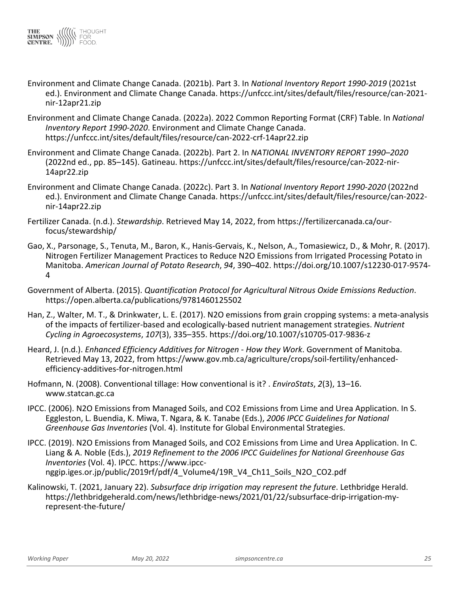![](_page_25_Picture_0.jpeg)

- Environment and Climate Change Canada. (2021b). Part 3. In *National Inventory Report 1990-2019* (2021st ed.). Environment and Climate Change Canada. https://unfccc.int/sites/default/files/resource/can-2021 nir-12apr21.zip
- Environment and Climate Change Canada. (2022a). 2022 Common Reporting Format (CRF) Table. In *National Inventory Report 1990-2020*. Environment and Climate Change Canada. https://unfccc.int/sites/default/files/resource/can-2022-crf-14apr22.zip
- Environment and Climate Change Canada. (2022b). Part 2. In *NATIONAL INVENTORY REPORT 1990–2020* (2022nd ed., pp. 85–145). Gatineau. https://unfccc.int/sites/default/files/resource/can-2022-nir-14apr22.zip
- Environment and Climate Change Canada. (2022c). Part 3. In *National Inventory Report 1990-2020* (2022nd ed.). Environment and Climate Change Canada. https://unfccc.int/sites/default/files/resource/can-2022 nir-14apr22.zip
- Fertilizer Canada. (n.d.). *Stewardship*. Retrieved May 14, 2022, from https://fertilizercanada.ca/ourfocus/stewardship/
- Gao, X., Parsonage, S., Tenuta, M., Baron, K., Hanis-Gervais, K., Nelson, A., Tomasiewicz, D., & Mohr, R. (2017). Nitrogen Fertilizer Management Practices to Reduce N2O Emissions from Irrigated Processing Potato in Manitoba. *American Journal of Potato Research*, *94*, 390–402. https://doi.org/10.1007/s12230-017-9574- 4
- Government of Alberta. (2015). *Quantification Protocol for Agricultural Nitrous Oxide Emissions Reduction*. https://open.alberta.ca/publications/9781460125502
- Han, Z., Walter, M. T., & Drinkwater, L. E. (2017). N2O emissions from grain cropping systems: a meta-analysis of the impacts of fertilizer-based and ecologically-based nutrient management strategies. *Nutrient Cycling in Agroecosystems*, *107*(3), 335–355. https://doi.org/10.1007/s10705-017-9836-z
- Heard, J. (n.d.). *Enhanced Efficiency Additives for Nitrogen - How they Work*. Government of Manitoba. Retrieved May 13, 2022, from https://www.gov.mb.ca/agriculture/crops/soil-fertility/enhancedefficiency-additives-for-nitrogen.html
- Hofmann, N. (2008). Conventional tillage: How conventional is it? . *EnviroStats*, *2*(3), 13–16. www.statcan.gc.ca
- IPCC. (2006). N2O Emissions from Managed Soils, and CO2 Emissions from Lime and Urea Application. In S. Eggleston, L. Buendia, K. Miwa, T. Ngara, & K. Tanabe (Eds.), *2006 IPCC Guidelines for National Greenhouse Gas Inventories* (Vol. 4). Institute for Global Environmental Strategies.
- IPCC. (2019). N2O Emissions from Managed Soils, and CO2 Emissions from Lime and Urea Application. In C. Liang & A. Noble (Eds.), *2019 Refinement to the 2006 IPCC Guidelines for National Greenhouse Gas Inventories* (Vol. 4). IPCC. https://www.ipccnggip.iges.or.jp/public/2019rf/pdf/4\_Volume4/19R\_V4\_Ch11\_Soils\_N2O\_CO2.pdf
- Kalinowski, T. (2021, January 22). *Subsurface drip irrigation may represent the future*. Lethbridge Herald. https://lethbridgeherald.com/news/lethbridge-news/2021/01/22/subsurface-drip-irrigation-myrepresent-the-future/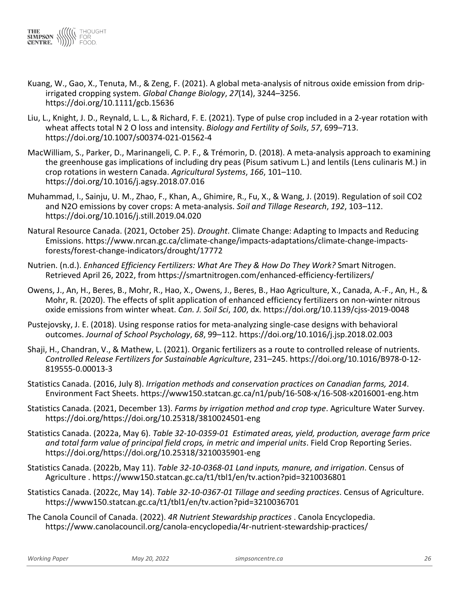![](_page_26_Picture_0.jpeg)

- Kuang, W., Gao, X., Tenuta, M., & Zeng, F. (2021). A global meta-analysis of nitrous oxide emission from dripirrigated cropping system. *Global Change Biology*, *27*(14), 3244–3256. https://doi.org/10.1111/gcb.15636
- Liu, L., Knight, J. D., Reynald, L. L., & Richard, F. E. (2021). Type of pulse crop included in a 2-year rotation with wheat affects total N 2 O loss and intensity. *Biology and Fertility of Soils*, *57*, 699–713. https://doi.org/10.1007/s00374-021-01562-4
- MacWilliam, S., Parker, D., Marinangeli, C. P. F., & Trémorin, D. (2018). A meta-analysis approach to examining the greenhouse gas implications of including dry peas (Pisum sativum L.) and lentils (Lens culinaris M.) in crop rotations in western Canada. *Agricultural Systems*, *166*, 101–110. https://doi.org/10.1016/j.agsy.2018.07.016
- Muhammad, I., Sainju, U. M., Zhao, F., Khan, A., Ghimire, R., Fu, X., & Wang, J. (2019). Regulation of soil CO2 and N2O emissions by cover crops: A meta-analysis. *Soil and Tillage Research*, *192*, 103–112. https://doi.org/10.1016/j.still.2019.04.020
- Natural Resource Canada. (2021, October 25). *Drought*. Climate Change: Adapting to Impacts and Reducing Emissions. https://www.nrcan.gc.ca/climate-change/impacts-adaptations/climate-change-impactsforests/forest-change-indicators/drought/17772
- Nutrien. (n.d.). *Enhanced Efficiency Fertilizers: What Are They & How Do They Work?* Smart Nitrogen. Retrieved April 26, 2022, from https://smartnitrogen.com/enhanced-efficiency-fertilizers/
- Owens, J., An, H., Beres, B., Mohr, R., Hao, X., Owens, J., Beres, B., Hao Agriculture, X., Canada, A.-F., An, H., & Mohr, R. (2020). The effects of split application of enhanced efficiency fertilizers on non-winter nitrous oxide emissions from winter wheat. *Can. J. Soil Sci*, *100*, dx. https://doi.org/10.1139/cjss-2019-0048
- Pustejovsky, J. E. (2018). Using response ratios for meta-analyzing single-case designs with behavioral outcomes. *Journal of School Psychology*, *68*, 99–112. https://doi.org/10.1016/j.jsp.2018.02.003
- Shaji, H., Chandran, V., & Mathew, L. (2021). Organic fertilizers as a route to controlled release of nutrients. *Controlled Release Fertilizers for Sustainable Agriculture*, 231–245. https://doi.org/10.1016/B978-0-12- 819555-0.00013-3
- Statistics Canada. (2016, July 8). *Irrigation methods and conservation practices on Canadian farms, 2014*. Environment Fact Sheets. https://www150.statcan.gc.ca/n1/pub/16-508-x/16-508-x2016001-eng.htm
- Statistics Canada. (2021, December 13). *Farms by irrigation method and crop type*. Agriculture Water Survey. https://doi.org/https://doi.org/10.25318/3810024501-eng
- Statistics Canada. (2022a, May 6). *Table 32-10-0359-01 Estimated areas, yield, production, average farm price and total farm value of principal field crops, in metric and imperial units*. Field Crop Reporting Series. https://doi.org/https://doi.org/10.25318/3210035901-eng
- Statistics Canada. (2022b, May 11). *Table 32-10-0368-01 Land inputs, manure, and irrigation*. Census of Agriculture . https://www150.statcan.gc.ca/t1/tbl1/en/tv.action?pid=3210036801
- Statistics Canada. (2022c, May 14). *Table 32-10-0367-01 Tillage and seeding practices*. Census of Agriculture. https://www150.statcan.gc.ca/t1/tbl1/en/tv.action?pid=3210036701
- The Canola Council of Canada. (2022). *4R Nutrient Stewardship practices* . Canola Encyclopedia. https://www.canolacouncil.org/canola-encyclopedia/4r-nutrient-stewardship-practices/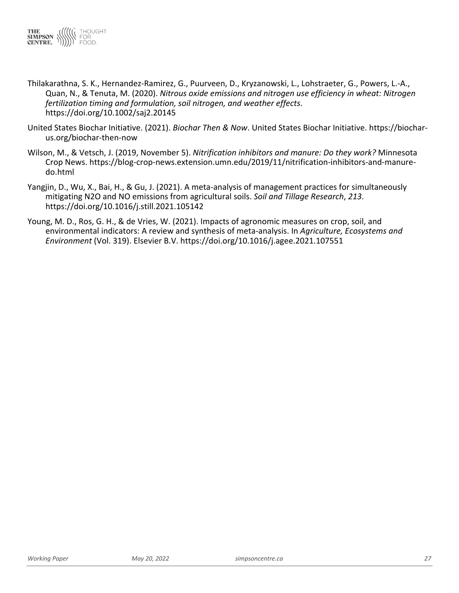![](_page_27_Picture_0.jpeg)

- Thilakarathna, S. K., Hernandez-Ramirez, G., Puurveen, D., Kryzanowski, L., Lohstraeter, G., Powers, L.-A., Quan, N., & Tenuta, M. (2020). *Nitrous oxide emissions and nitrogen use efficiency in wheat: Nitrogen fertilization timing and formulation, soil nitrogen, and weather effects*. https://doi.org/10.1002/saj2.20145
- United States Biochar Initiative. (2021). *Biochar Then & Now*. United States Biochar Initiative. https://biocharus.org/biochar-then-now
- Wilson, M., & Vetsch, J. (2019, November 5). *Nitrification inhibitors and manure: Do they work?* Minnesota Crop News. https://blog-crop-news.extension.umn.edu/2019/11/nitrification-inhibitors-and-manuredo.html
- Yangjin, D., Wu, X., Bai, H., & Gu, J. (2021). A meta-analysis of management practices for simultaneously mitigating N2O and NO emissions from agricultural soils. *Soil and Tillage Research*, *213*. https://doi.org/10.1016/j.still.2021.105142
- Young, M. D., Ros, G. H., & de Vries, W. (2021). Impacts of agronomic measures on crop, soil, and environmental indicators: A review and synthesis of meta-analysis. In *Agriculture, Ecosystems and Environment* (Vol. 319). Elsevier B.V. https://doi.org/10.1016/j.agee.2021.107551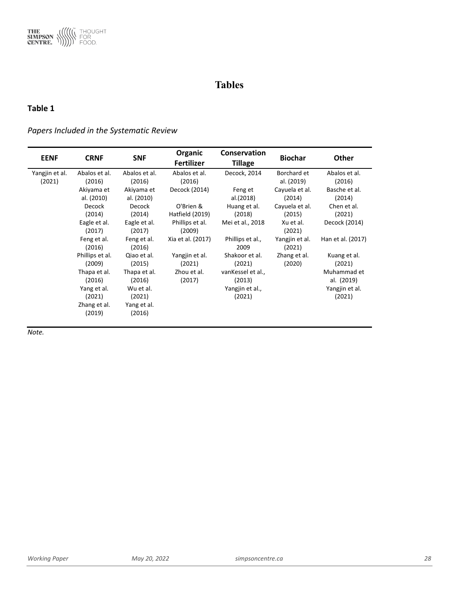![](_page_28_Picture_0.jpeg)

# **Tables**

#### **Table 1**

# *Papers Included in the Systematic Review*

| <b>EENF</b>    | <b>CRNF</b>     | <b>SNF</b>    | Organic<br><b>Fertilizer</b> | Conservation<br><b>Tillage</b> | <b>Biochar</b> | Other             |
|----------------|-----------------|---------------|------------------------------|--------------------------------|----------------|-------------------|
| Yangjin et al. | Abalos et al.   | Abalos et al. | Abalos et al.                | Decock, 2014                   | Borchard et    | Abalos et al.     |
| (2021)         | (2016)          | (2016)        | (2016)                       |                                | al. (2019)     | (2016)            |
|                | Akiyama et      | Akiyama et    | Decock (2014)                | Feng et                        | Cayuela et al. | Basche et al.     |
|                | al. (2010)      | al. (2010)    |                              | al.(2018)                      | (2014)         | (2014)            |
|                | <b>Decock</b>   | Decock        | O'Brien &                    | Huang et al.                   | Cayuela et al. | Chen et al.       |
|                | (2014)          | (2014)        | Hatfield (2019)              | (2018)                         | (2015)         | (2021)            |
|                | Eagle et al.    | Eagle et al.  | Phillips et al.              | Mei et al., 2018               | Xu et al.      | Decock (2014)     |
|                | (2017)          | (2017)        | (2009)                       |                                | (2021)         |                   |
|                | Feng et al.     | Feng et al.   | Xia et al. (2017)            | Phillips et al.,               | Yangjin et al. | Han et al. (2017) |
|                | (2016)          | (2016)        |                              | 2009                           | (2021)         |                   |
|                | Phillips et al. | Qiao et al.   | Yangjin et al.               | Shakoor et al.                 | Zhang et al.   | Kuang et al.      |
|                | (2009)          | (2015)        | (2021)                       | (2021)                         | (2020)         | (2021)            |
|                | Thapa et al.    | Thapa et al.  | Zhou et al.                  | vanKessel et al.,              |                | Muhammad et       |
|                | (2016)          | (2016)        | (2017)                       | (2013)                         |                | al. (2019)        |
|                | Yang et al.     | Wu et al.     |                              | Yangjin et al.,                |                | Yangjin et al.    |
|                | (2021)          | (2021)        |                              | (2021)                         |                | (2021)            |
|                | Zhang et al.    | Yang et al.   |                              |                                |                |                   |
|                | (2019)          | (2016)        |                              |                                |                |                   |

*Note.*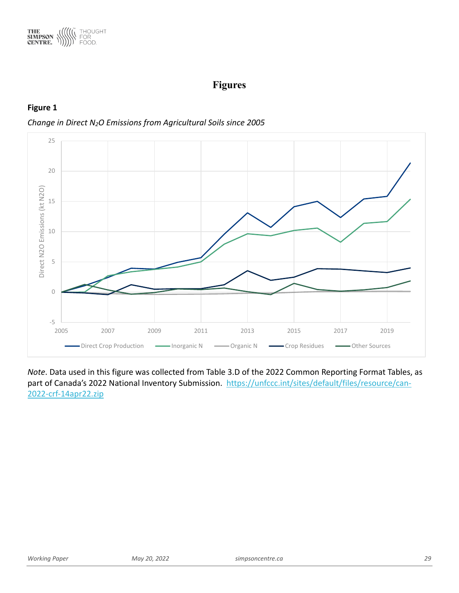![](_page_29_Picture_0.jpeg)

## **Figure 1**

*Change in Direct N2O Emissions from Agricultural Soils since 2005*

![](_page_29_Figure_4.jpeg)

*Note*. Data used in this figure was collected from Table 3.D of the 2022 Common Reporting Format Tables, as part of Canada's 2022 National Inventory Submission. [https://unfccc.int/sites/default/files/resource/can-](https://unfccc.int/sites/default/files/resource/can-2022-crf-14apr22.zip)[2022-crf-14apr22.zip](https://unfccc.int/sites/default/files/resource/can-2022-crf-14apr22.zip)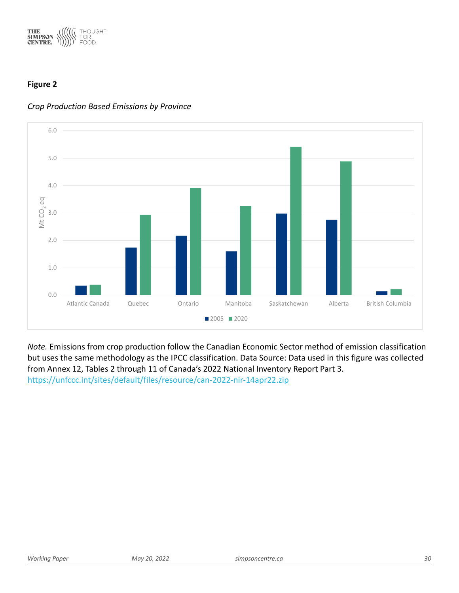![](_page_30_Picture_0.jpeg)

![](_page_30_Figure_2.jpeg)

*Crop Production Based Emissions by Province*

*Note.* Emissions from crop production follow the Canadian Economic Sector method of emission classification but uses the same methodology as the IPCC classification. Data Source: Data used in this figure was collected from Annex 12, Tables 2 through 11 of Canada's 2022 National Inventory Report Part 3. <https://unfccc.int/sites/default/files/resource/can-2022-nir-14apr22.zip>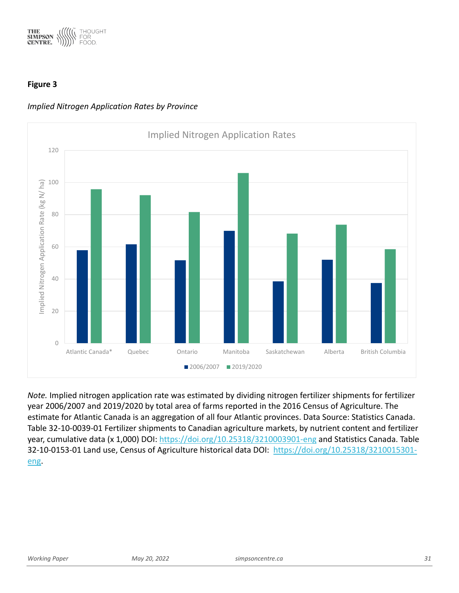![](_page_31_Picture_0.jpeg)

#### *Implied Nitrogen Application Rates by Province*

![](_page_31_Figure_3.jpeg)

*Note.* Implied nitrogen application rate was estimated by dividing nitrogen fertilizer shipments for fertilizer year 2006/2007 and 2019/2020 by total area of farms reported in the 2016 Census of Agriculture. The estimate for Atlantic Canada is an aggregation of all four Atlantic provinces. Data Source: Statistics Canada. Table 32-10-0039-01 Fertilizer shipments to Canadian agriculture markets, by nutrient content and fertilizer year, cumulative data (x 1,000) DOI: <https://doi.org/10.25318/3210003901-eng> and Statistics Canada. Table 32-10-0153-01 Land use, Census of Agriculture historical data DOI: [https://doi.org/10.25318/3210015301](https://doi.org/10.25318/3210015301-eng) [eng.](https://doi.org/10.25318/3210015301-eng)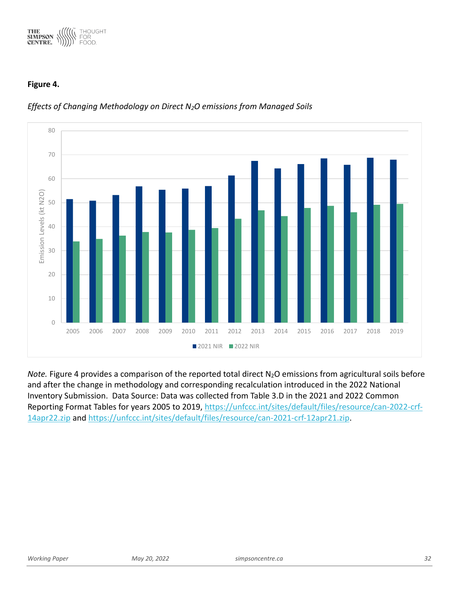![](_page_32_Picture_0.jpeg)

#### **Figure 4.**

![](_page_32_Figure_2.jpeg)

#### *Effects of Changing Methodology on Direct N2O emissions from Managed Soils*

*Note.* Figure 4 provides a comparison of the reported total direct N<sub>2</sub>O emissions from agricultural soils before and after the change in methodology and corresponding recalculation introduced in the 2022 National Inventory Submission. Data Source: Data was collected from Table 3.D in the 2021 and 2022 Common Reporting Format Tables for years 2005 to 2019, [https://unfccc.int/sites/default/files/resource/can-2022-crf-](https://unfccc.int/sites/default/files/resource/can-2022-crf-14apr22.zip)[14apr22.zip](https://unfccc.int/sites/default/files/resource/can-2022-crf-14apr22.zip) and [https://unfccc.int/sites/default/files/resource/can-2021-crf-12apr21.zip.](https://unfccc.int/sites/default/files/resource/can-2021-crf-12apr21.zip)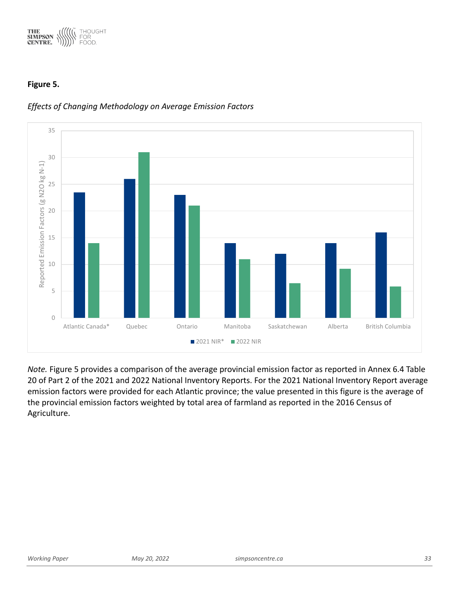![](_page_33_Picture_0.jpeg)

#### **Figure 5.**

![](_page_33_Figure_2.jpeg)

#### *Effects of Changing Methodology on Average Emission Factors*

*Note.* Figure 5 provides a comparison of the average provincial emission factor as reported in Annex 6.4 Table 20 of Part 2 of the 2021 and 2022 National Inventory Reports. For the 2021 National Inventory Report average emission factors were provided for each Atlantic province; the value presented in this figure is the average of the provincial emission factors weighted by total area of farmland as reported in the 2016 Census of Agriculture.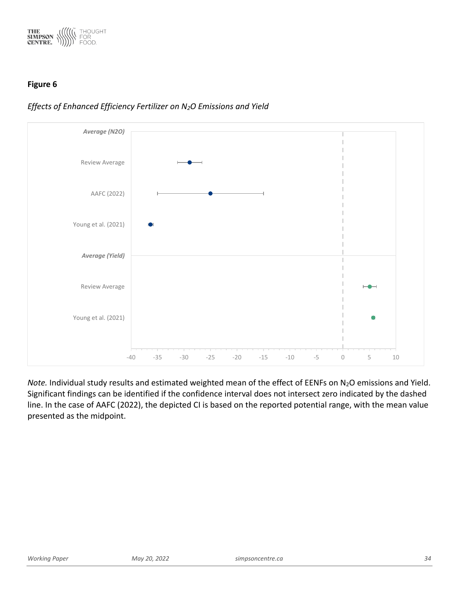![](_page_34_Picture_0.jpeg)

![](_page_34_Figure_2.jpeg)

#### *Effects of Enhanced Efficiency Fertilizer on N2O Emissions and Yield*

*Note.* Individual study results and estimated weighted mean of the effect of EENFs on N<sub>2</sub>O emissions and Yield. Significant findings can be identified if the confidence interval does not intersect zero indicated by the dashed line. In the case of AAFC (2022), the depicted CI is based on the reported potential range, with the mean value presented as the midpoint.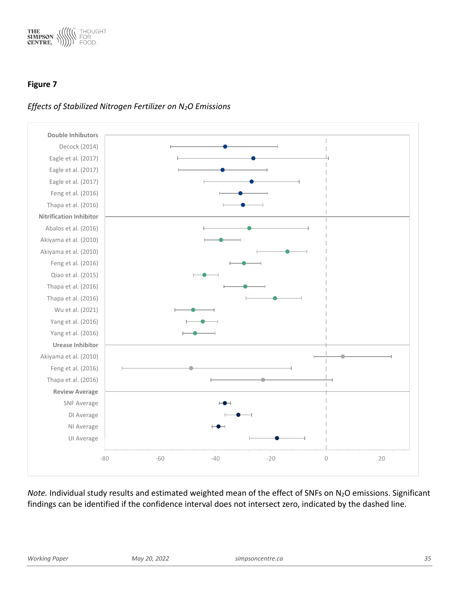![](_page_35_Picture_0.jpeg)

![](_page_35_Figure_2.jpeg)

#### *Effects of Stabilized Nitrogen Fertilizer on N2O Emissions*

*Note.* Individual study results and estimated weighted mean of the effect of SNFs on N<sub>2</sub>O emissions. Significant findings can be identified if the confidence interval does not intersect zero, indicated by the dashed line.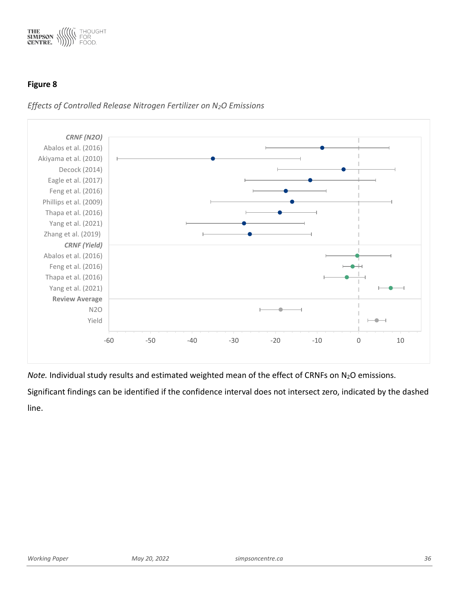![](_page_36_Picture_0.jpeg)

![](_page_36_Figure_2.jpeg)

*Effects of Controlled Release Nitrogen Fertilizer on N2O Emissions*

*Note.* Individual study results and estimated weighted mean of the effect of CRNFs on N<sub>2</sub>O emissions.

Significant findings can be identified if the confidence interval does not intersect zero, indicated by the dashed line.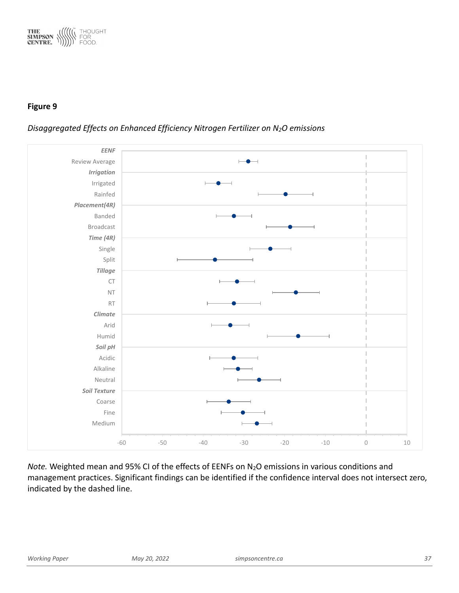#### *Disaggregated Effects on Enhanced Efficiency Nitrogen Fertilizer on N2O emissions*

![](_page_37_Figure_3.jpeg)

*Note.* Weighted mean and 95% CI of the effects of EENFs on N<sub>2</sub>O emissions in various conditions and management practices. Significant findings can be identified if the confidence interval does not intersect zero, indicated by the dashed line.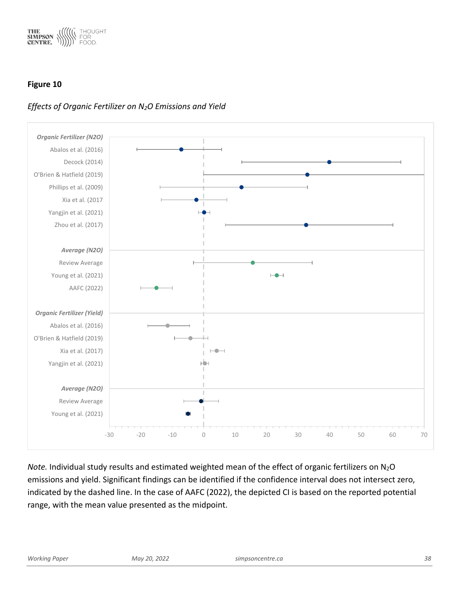![](_page_38_Picture_0.jpeg)

![](_page_38_Figure_2.jpeg)

![](_page_38_Figure_3.jpeg)

*Note.* Individual study results and estimated weighted mean of the effect of organic fertilizers on N<sub>2</sub>O emissions and yield. Significant findings can be identified if the confidence interval does not intersect zero, indicated by the dashed line. In the case of AAFC (2022), the depicted CI is based on the reported potential range, with the mean value presented as the midpoint.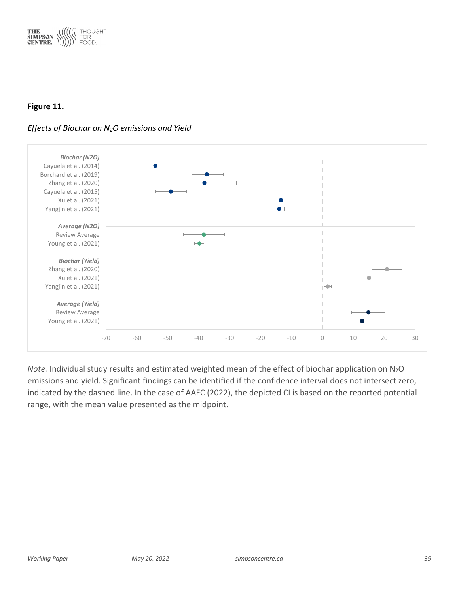![](_page_39_Picture_0.jpeg)

## **Figure 11.**

![](_page_39_Figure_2.jpeg)

![](_page_39_Figure_3.jpeg)

*Note.* Individual study results and estimated weighted mean of the effect of biochar application on N<sub>2</sub>O emissions and yield. Significant findings can be identified if the confidence interval does not intersect zero, indicated by the dashed line. In the case of AAFC (2022), the depicted CI is based on the reported potential range, with the mean value presented as the midpoint.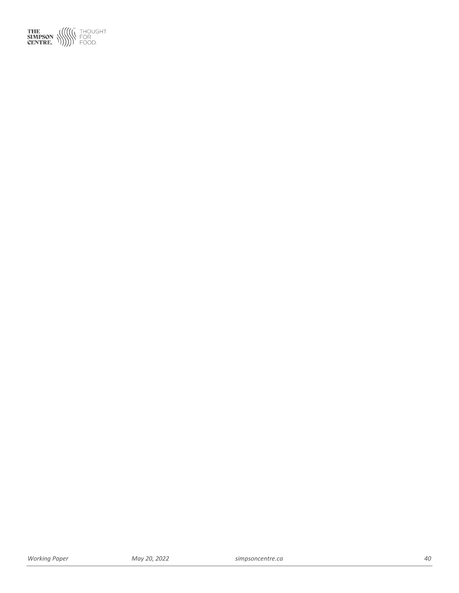![](_page_40_Picture_0.jpeg)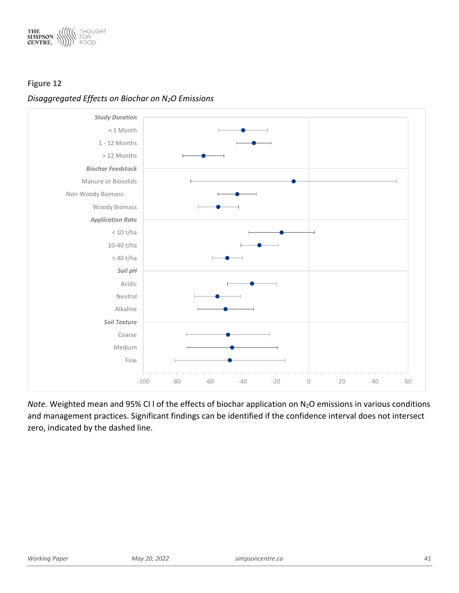![](_page_41_Picture_0.jpeg)

# **Figure 12** *Disaggregated Effects on Biochar on N2O Emissions*

![](_page_41_Figure_2.jpeg)

*Note.* Weighted mean and 95% CI I of the effects of biochar application on N<sub>2</sub>O emissions in various conditions and management practices. Significant findings can be identified if the confidence interval does not intersect zero, indicated by the dashed line.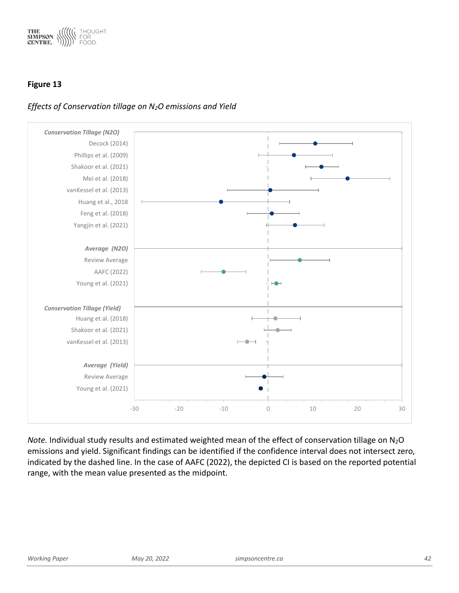![](_page_42_Picture_0.jpeg)

#### *Effects of Conservation tillage on N2O emissions and Yield*

![](_page_42_Figure_3.jpeg)

*Note.* Individual study results and estimated weighted mean of the effect of conservation tillage on N2O emissions and yield. Significant findings can be identified if the confidence interval does not intersect zero, indicated by the dashed line. In the case of AAFC (2022), the depicted CI is based on the reported potential range, with the mean value presented as the midpoint.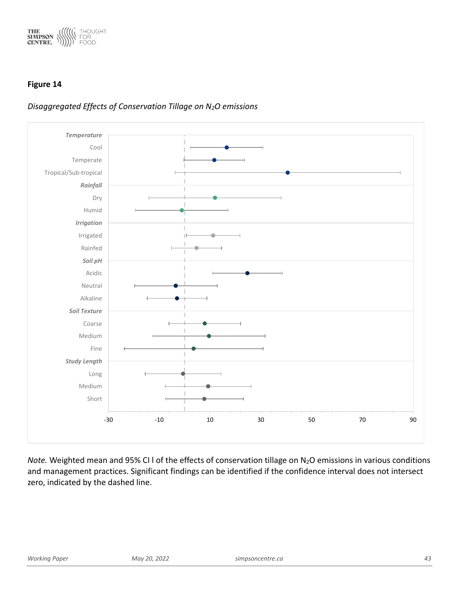![](_page_43_Picture_0.jpeg)

![](_page_43_Figure_2.jpeg)

#### *Disaggregated Effects of Conservation Tillage on N2O emissions*

*Note.* Weighted mean and 95% CI I of the effects of conservation tillage on N<sub>2</sub>O emissions in various conditions and management practices. Significant findings can be identified if the confidence interval does not intersect zero, indicated by the dashed line.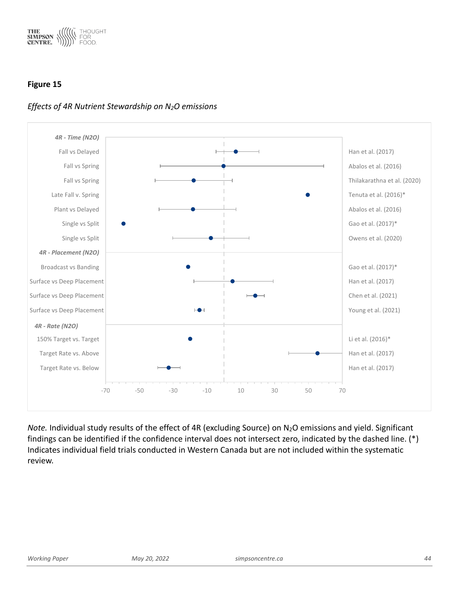![](_page_44_Picture_0.jpeg)

![](_page_44_Figure_2.jpeg)

#### *Effects of 4R Nutrient Stewardship on N2O emissions*

*Note.* Individual study results of the effect of 4R (excluding Source) on N<sub>2</sub>O emissions and yield. Significant findings can be identified if the confidence interval does not intersect zero, indicated by the dashed line. (\*) Indicates individual field trials conducted in Western Canada but are not included within the systematic review.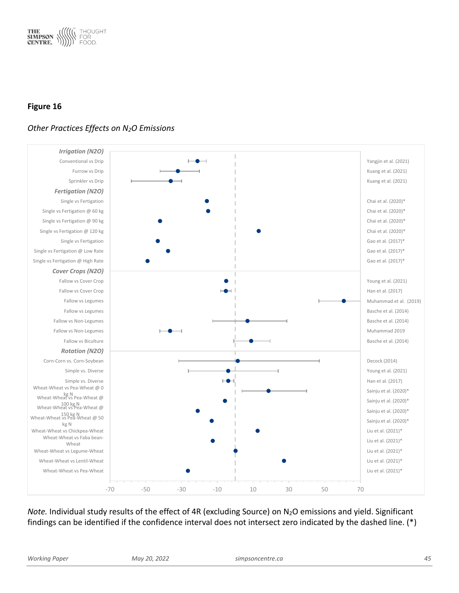![](_page_45_Picture_0.jpeg)

#### *Other Practices Effects on N2O Emissions*

![](_page_45_Figure_3.jpeg)

*Note.* Individual study results of the effect of 4R (excluding Source) on N<sub>2</sub>O emissions and yield. Significant findings can be identified if the confidence interval does not intersect zero indicated by the dashed line. (\*)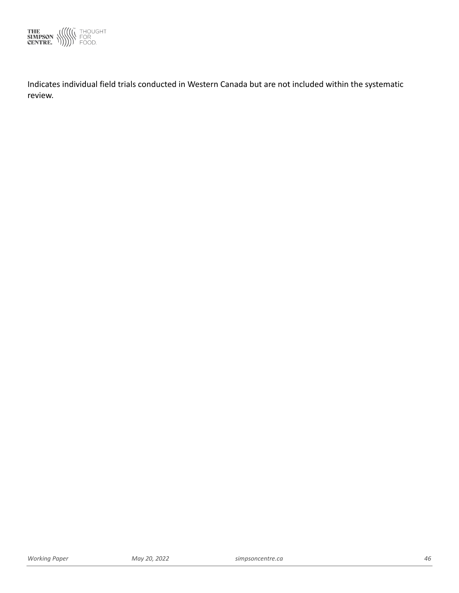![](_page_46_Picture_0.jpeg)

Indicates individual field trials conducted in Western Canada but are not included within the systematic review.